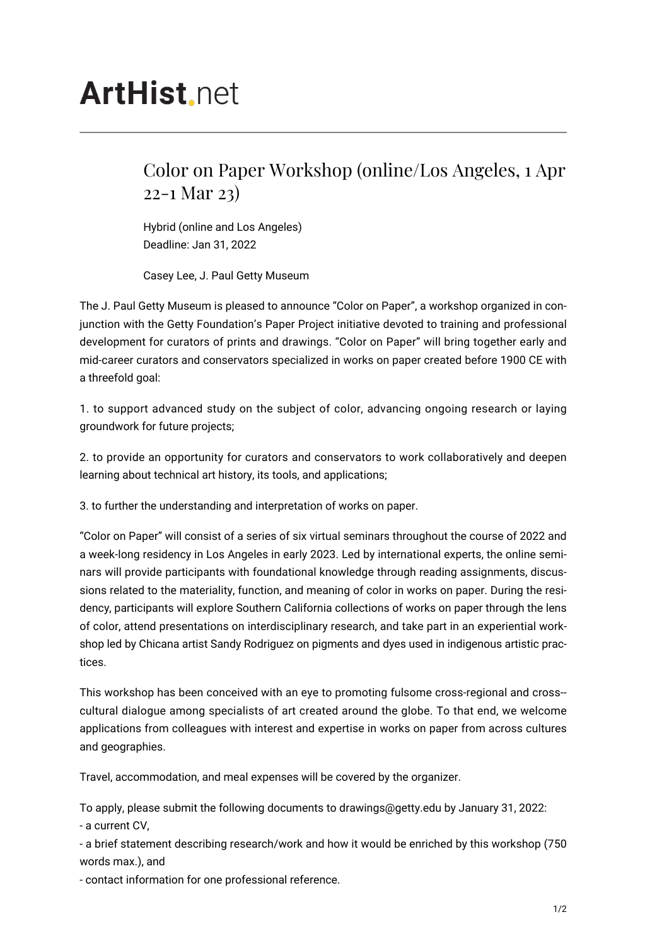## **ArtHist** net

## Color on Paper Workshop (online/Los Angeles, 1 Apr 22-1 Mar 23)

Hybrid (online and Los Angeles) Deadline: Jan 31, 2022

Casey Lee, J. Paul Getty Museum

The J. Paul Getty Museum is pleased to announce "Color on Paper", a workshop organized in conjunction with the Getty Foundation's Paper Project initiative devoted to training and professional development for curators of prints and drawings. "Color on Paper" will bring together early and mid-career curators and conservators specialized in works on paper created before 1900 CE with a threefold goal:

1. to support advanced study on the subject of color, advancing ongoing research or laying groundwork for future projects;

2. to provide an opportunity for curators and conservators to work collaboratively and deepen learning about technical art history, its tools, and applications;

3. to further the understanding and interpretation of works on paper.

"Color on Paper" will consist of a series of six virtual seminars throughout the course of 2022 and a week-long residency in Los Angeles in early 2023. Led by international experts, the online seminars will provide participants with foundational knowledge through reading assignments, discussions related to the materiality, function, and meaning of color in works on paper. During the residency, participants will explore Southern California collections of works on paper through the lens of color, attend presentations on interdisciplinary research, and take part in an experiential workshop led by Chicana artist Sandy Rodriguez on pigments and dyes used in indigenous artistic practices.

This workshop has been conceived with an eye to promoting fulsome cross-regional and cross- cultural dialogue among specialists of art created around the globe. To that end, we welcome applications from colleagues with interest and expertise in works on paper from across cultures and geographies.

Travel, accommodation, and meal expenses will be covered by the organizer.

To apply, please submit the following documents to drawings@getty.edu by January 31, 2022: - a current CV,

- a brief statement describing research/work and how it would be enriched by this workshop (750 words max.), and

- contact information for one professional reference.